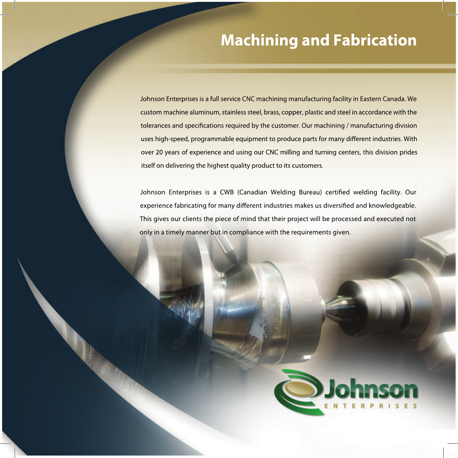## **Machining and Fabrication**

Johnson Enterprises is a full service CNC machining manufacturing facility in Eastern Canada. We custom machine aluminum, stainless steel, brass, copper, plastic and steel in accordance with the tolerances and specifications required by the customer. Our machining / manufacturing division uses high-speed, programmable equipment to produce parts for many different industries. With over 20 years of experience and using our CNC milling and turning centers, this division prides itself on delivering the highest quality product to its customers.

Johnson Enterprises is a CWB (Canadian Welding Bureau) certified welding facility. Our experience fabricating for many different industries makes us diversified and knowledgeable. This gives our clients the piece of mind that their project will be processed and executed not only in a timely manner but in compliance with the requirements given.